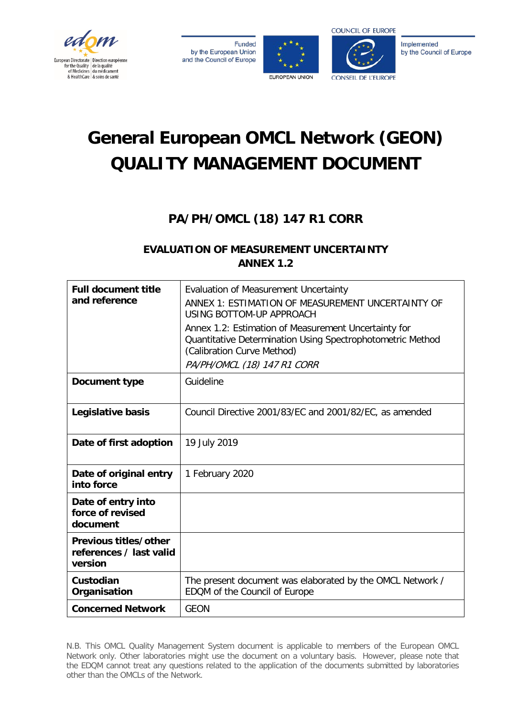

**Funded** by the European Union and the Council of Europe





Implemented by the Council of Europe

# **General European OMCL Network (GEON) QUALITY MANAGEMENT DOCUMENT**

# **PA/PH/OMCL (18) 147 R1 CORR**

# **EVALUATION OF MEASUREMENT UNCERTAINTY ANNEX 1.2**

| <b>Full document title</b><br>and reference                 | <b>Evaluation of Measurement Uncertainty</b><br>ANNEX 1: ESTIMATION OF MEASUREMENT UNCERTAINTY OF<br>USING BOTTOM-UP APPROACH<br>Annex 1.2: Estimation of Measurement Uncertainty for<br>Quantitative Determination Using Spectrophotometric Method<br>(Calibration Curve Method)<br>PA/PH/OMCL (18) 147 R1 CORR |
|-------------------------------------------------------------|------------------------------------------------------------------------------------------------------------------------------------------------------------------------------------------------------------------------------------------------------------------------------------------------------------------|
| Document type                                               | Guideline                                                                                                                                                                                                                                                                                                        |
| Legislative basis                                           | Council Directive 2001/83/EC and 2001/82/EC, as amended                                                                                                                                                                                                                                                          |
| Date of first adoption                                      | 19 July 2019                                                                                                                                                                                                                                                                                                     |
| Date of original entry<br>into force                        | 1 February 2020                                                                                                                                                                                                                                                                                                  |
| Date of entry into<br>force of revised<br>document          |                                                                                                                                                                                                                                                                                                                  |
| Previous titles/other<br>references / last valid<br>version |                                                                                                                                                                                                                                                                                                                  |
| Custodian<br>Organisation                                   | The present document was elaborated by the OMCL Network /<br>EDQM of the Council of Europe                                                                                                                                                                                                                       |
| <b>Concerned Network</b>                                    | <b>GEON</b>                                                                                                                                                                                                                                                                                                      |

N.B. This OMCL Quality Management System document is applicable to members of the European OMCL Network only. Other laboratories might use the document on a voluntary basis. However, please note that the EDQM cannot treat any questions related to the application of the documents submitted by laboratories other than the OMCLs of the Network.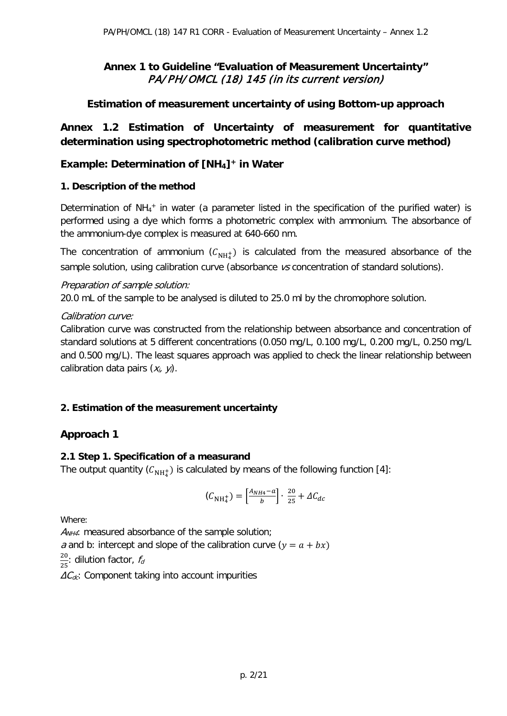# **Annex 1 to Guideline "Evaluation of Measurement Uncertainty"**  PA/PH/OMCL (18) 145 (in its current version)

# **Estimation of measurement uncertainty of using Bottom-up approach**

# **Annex 1.2 Estimation of Uncertainty of measurement for quantitative determination using spectrophotometric method (calibration curve method)**

# **Example: Determination of [NH4]+ in Water**

# **1. Description of the method**

Determination of NH<sub>4</sub><sup>+</sup> in water (a parameter listed in the specification of the purified water) is performed using a dye which forms a photometric complex with ammonium. The absorbance of the ammonium-dye complex is measured at 640-660 nm.

The concentration of ammonium  $(\mathcal{C}_{NH_4^+})$  is calculated from the measured absorbance of the sample solution, using calibration curve (absorbance vs concentration of standard solutions).

# Preparation of sample solution:

20.0 mL of the sample to be analysed is diluted to 25.0 ml by the chromophore solution.

# Calibration curve:

Calibration curve was constructed from the relationship between absorbance and concentration of standard solutions at 5 different concentrations (0.050 mg/L, 0.100 mg/L, 0.200 mg/L, 0.250 mg/L and 0.500 mg/L). The least squares approach was applied to check the linear relationship between calibration data pairs  $(x_i, y_i)$ .

# **2. Estimation of the measurement uncertainty**

# **Approach 1**

# **2.1 Step 1. Specification of a measurand**

The output quantity ( ${\cal C}_{\rm NH_4^+}$ ) is calculated by means of the following function [4]:

$$
(\mathcal{C}_{\text{NH}_4^+}) = \left[\frac{A_{NH4} - a}{b}\right] \cdot \frac{20}{25} + \Delta C_{dc}
$$

Where:

 $A_{NH4}$ : measured absorbance of the sample solution; a and b: intercept and slope of the calibration curve  $(y = a + bx)$  $\frac{20}{25}$ : dilution factor,  $f_a$  $\Delta C_{dc}$ : Component taking into account impurities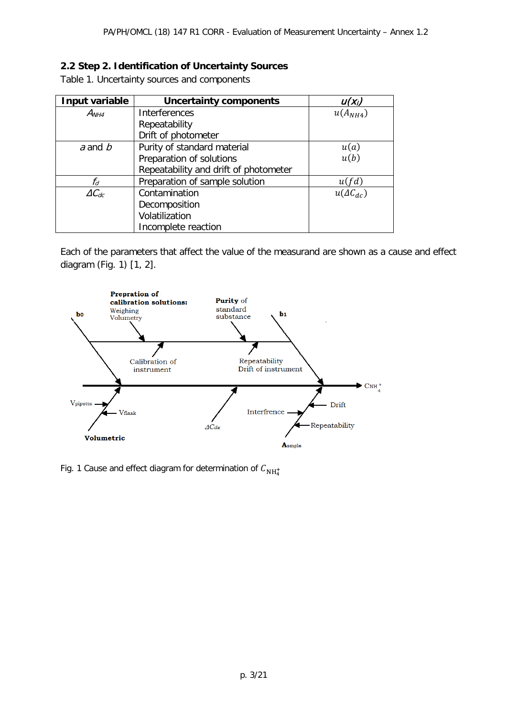# **2.2 Step 2. Identification of Uncertainty Sources**

Table 1. Uncertainty sources and components

| Input variable     | <b>Uncertainty components</b>         | $U(X_i)$           |
|--------------------|---------------------------------------|--------------------|
| $A_{NH4}$          | <b>Interferences</b>                  | $u(A_{NH4})$       |
|                    | Repeatability                         |                    |
|                    | Drift of photometer                   |                    |
| $a$ and $b$        | Purity of standard material           | u(a)               |
|                    | Preparation of solutions              | u(b)               |
|                    | Repeatability and drift of photometer |                    |
| fd                 | Preparation of sample solution        | u(fd)              |
| $\varDelta C_{dc}$ | Contamination                         | $u(\Delta C_{dc})$ |
|                    | Decomposition                         |                    |
|                    | Volatilization                        |                    |
|                    | Incomplete reaction                   |                    |

Each of the parameters that affect the value of the measurand are shown as a cause and effect diagram (Fig. 1) [1, 2].



Fig. 1 Cause and effect diagram for determination of  $C_{\rm NH_4^+}$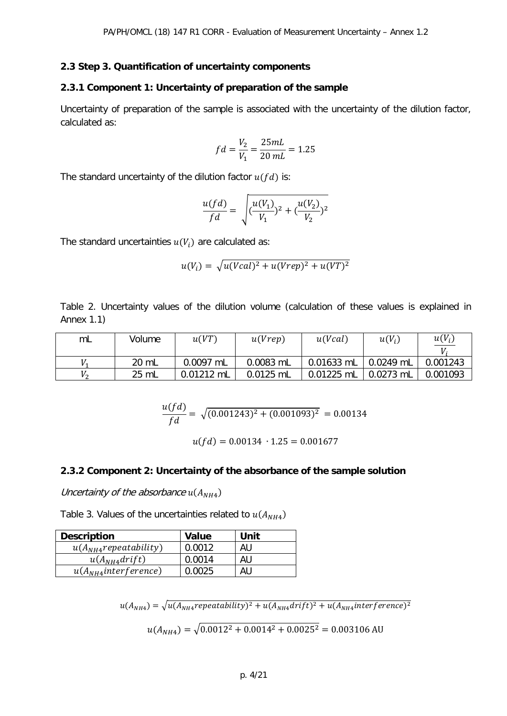#### **2.3 Step 3. Quantification of uncertainty components**

#### **2.3.1 Component 1: Uncertainty of preparation of the sample**

Uncertainty of preparation of the sample is associated with the uncertainty of the dilution factor, calculated as:

$$
fd = \frac{V_2}{V_1} = \frac{25mL}{20 mL} = 1.25
$$

The standard uncertainty of the dilution factor  $u(fd)$  is:

$$
\frac{u(fd)}{fd} = \sqrt{\left(\frac{u(V_1)}{V_1}\right)^2 + \left(\frac{u(V_2)}{V_2}\right)^2}
$$

The standard uncertainties  $u(V_i)$  are calculated as:

$$
u(Vi) = \sqrt{u(Vcal)^{2} + u(Vrep)^{2} + u(VT)^{2}}
$$

Table 2. Uncertainty values of the dilution volume (calculation of these values is explained in Annex 1.1)

| mL                | Volume | u(VT)      | u(Vrep)   | u(Vcal)    | $u(V_i)$    | $u(V_i)$ |
|-------------------|--------|------------|-----------|------------|-------------|----------|
|                   | 20 mL  | 0.0097 mL  | 0.0083 mL | 0.01633 mL | 0.0249 mL   | 0.001243 |
| $V_{\mathcal{D}}$ | 25 mL  | 0.01212 mL | 0.0125 mL | 0.01225 mL | $0.0273$ mL | 0.001093 |

$$
\frac{u(fd)}{fd} = \sqrt{(0.001243)^2 + (0.001093)^2} = 0.00134
$$

 $u(fd) = 0.00134 \cdot 1.25 = 0.001677$ 

#### **2.3.2 Component 2: Uncertainty of the absorbance of the sample solution**

Uncertainty of the absorbance  $u(A_{NH4})$ 

Table 3. Values of the uncertainties related to  $u(A_{NH4})$ 

| <b>Description</b>         | <b>Value</b> | Unit |
|----------------------------|--------------|------|
| $u(A_{NH4}$ repeatability) | 0.0012       | AU   |
| $u(A_{NH4}drift)$          | 0.0014       | AU   |
| $u(A_{NH4}$ interference)  |              | AU   |

 $u(A_{NH4}) = \sqrt{u(A_{NH4}+T)u(A_{NH4}+T)}$  +  $u(A_{NH4}+T)u(A_{NH4}+T)u(A_{NH4}+T)u(A_{NH4}+T)u(A_{NH4}+T)u(A_{NH4}+T)u(A_{NH4}+T)u(A_{NH4}+T)u(A_{NH4}+T)u(A_{NH4}+T)u(A_{NH4}+T)u(A_{NH4}+T)u(A_{NH4}+T)u(A_{NH4}+T)u(A_{NH4}+T)u(A_{NH4}+T)u(A_{NH4}+T)u(A_{NH4}+T)u(A_{NH4}+T)u(A_{NH4}+T)u(A_{NH4}+$ 

$$
u(A_{NH4}) = \sqrt{0.0012^2 + 0.0014^2 + 0.0025^2} = 0.003106 \text{ AU}
$$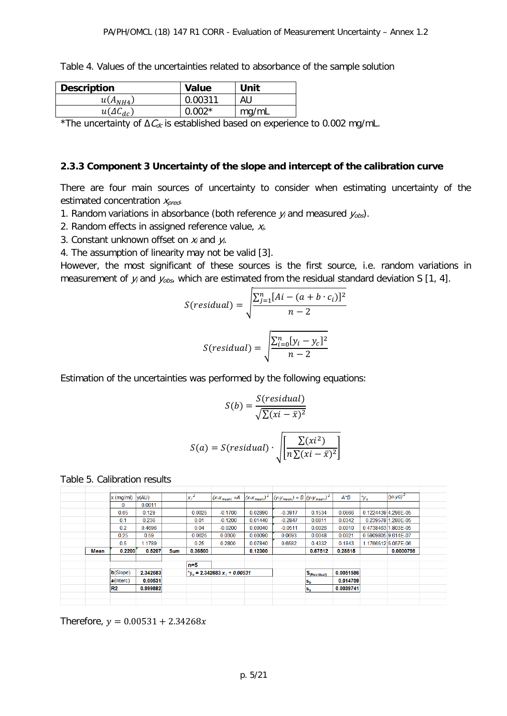| <b>Description</b> | Value    | Unit  |
|--------------------|----------|-------|
| $u(A_{NH4})$       | 0.00311  | AU    |
| $u(\Delta C_{dc})$ | $0.002*$ | mg/mL |

\*The uncertainty of Δ $\mathcal{C}_{dc}$  is established based on experience to 0.002 mg/mL.

#### **2.3.3 Component 3 Uncertainty of the slope and intercept of the calibration curve**

There are four main sources of uncertainty to consider when estimating uncertainty of the estimated concentration  $x_{pred}$ .

- 1. Random variations in absorbance (both reference  $y_i$  and measured  $y_{obs}$ ).
- 2. Random effects in assigned reference value,  $x_i$ .
- 3. Constant unknown offset on  $x_i$  and  $y_i$ .
- 4. The assumption of linearity may not be valid [3].

However, the most significant of these sources is the first source, i.e. random variations in measurement of  $y_i$  and  $y_{obs}$ , which are estimated from the residual standard deviation S [1, 4].

$$
S(residual) = \sqrt{\frac{\sum_{j=1}^{n} [Ai - (a + b \cdot c_i)]^2}{n - 2}}
$$

$$
S(residual) = \sqrt{\frac{\sum_{i=0}^{n} [y_i - y_c]^2}{n - 2}}
$$

Estimation of the uncertainties was performed by the following equations:

$$
S(b) = \frac{S(residual)}{\sqrt{\sum (xi - \bar{x})^2}}
$$

 $\overline{\mathbf{1}}$ 

$$
S(a) = S(residual) \cdot \sqrt{\left| \frac{\sum (xi^2)}{n \sum (xi - \bar{x})^2} \right|}
$$

Table 5. Calibration results

|      | $x \text{ (mg/ml)}$ | y(AU)    |            | $x_i^2$ |                                                  |         | $(x-x_{mean}) = A \t  (x-x_{mean})^2 \t  (y-y_{mean}) = B \t  (y-y_{mean})^2$ |                                    | $A^*B$    | $\mathbf{v}_c$      | $(yi-yc)^2$         |
|------|---------------------|----------|------------|---------|--------------------------------------------------|---------|-------------------------------------------------------------------------------|------------------------------------|-----------|---------------------|---------------------|
|      | 0                   | 0.0011   |            |         |                                                  |         |                                                                               |                                    |           |                     |                     |
|      | 0.05                | 0.129    |            | 0.0025  | $-0.1700$                                        | 0.02890 | $-0.3917$                                                                     | 0.1534                             | 0.0666    |                     | 0.1224439 4.298E-05 |
|      | 0.1                 | 0.236    |            | 0.01    | $-0.1200$                                        | 0.01440 | $-0.2847$                                                                     | 0.0811                             | 0.0342    |                     | 0.2395781.280E-05   |
|      | 0.2                 | 0.4696   |            | 0.04    | $-0.0200$                                        | 0.00040 | $-0.0511$                                                                     | 0.0026                             | 0.0010    |                     | 0.4738463 1.803E-05 |
|      | 0.25                | 0.59     |            | 0.0625  | 0.0300                                           | 0.00090 | 0.0693                                                                        | 0.0048                             | 0.0021    | 0.5909805 9.614E-07 |                     |
|      | 0.5                 | 1.1789   |            | 0.25    | 0.2800                                           | 0.07840 | 0.6582                                                                        | 0.4332                             | 0.1843    |                     | 1.17665125.057E-06  |
| Mean | 0.2200              | 0.5207   | <b>Sum</b> | 0.36500 |                                                  | 0.12300 |                                                                               | 0.67512                            | 0.28815   |                     | 0.0000798           |
|      |                     |          |            |         |                                                  |         |                                                                               |                                    |           |                     |                     |
|      |                     |          |            | m=5     |                                                  |         |                                                                               |                                    |           |                     |                     |
|      | $b(Slope)$          | 2.342683 |            |         | $\mathbf{v}_0 = 2.342683 \mathbf{x}_1 + 0.00531$ |         |                                                                               | $\mathsf{S}_{\mathsf{(Residual)}}$ | 0.0051586 |                     |                     |
|      | a(Interc)           | 0.00531  |            |         |                                                  |         |                                                                               | $ s_{b} $                          | 0.014709  |                     |                     |
|      |                     |          |            |         |                                                  |         |                                                                               |                                    | 0.0039741 |                     |                     |
|      | R <sub>2</sub>      | 0.999882 |            |         |                                                  |         |                                                                               | $ s_a $                            |           |                     |                     |
|      |                     |          |            |         |                                                  |         |                                                                               |                                    |           |                     |                     |

Therefore,  $y = 0.00531 + 2.34268x$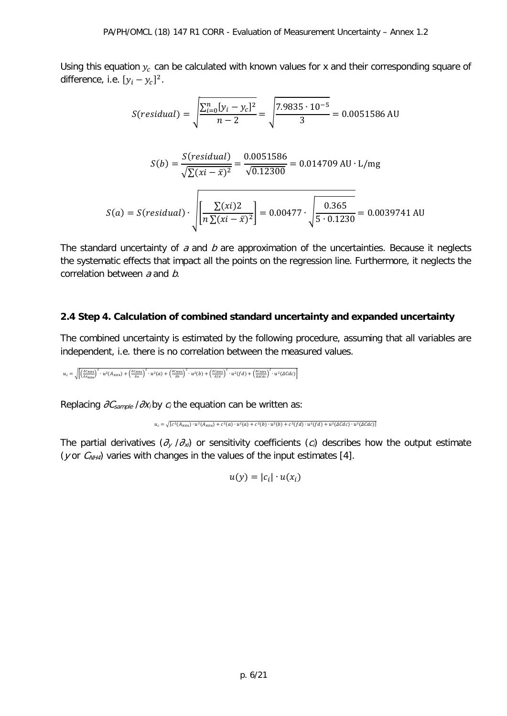Using this equation  $y_c$  can be calculated with known values for x and their corresponding square of difference, i.e.  $[y_i - y_c]^2$ .

$$
S(residual) = \sqrt{\frac{\sum_{i=0}^{n} [y_i - y_c]^2}{n - 2}} = \sqrt{\frac{7.9835 \cdot 10^{-5}}{3}} = 0.0051586 \text{ AU}
$$

$$
S(b) = \frac{S(residual)}{\sqrt{\sum (xi - \bar{x})^2}} = \frac{0.0051586}{\sqrt{0.12300}} = 0.014709 \text{ AU} \cdot \text{L/mg}
$$

$$
S(a) = S(residual) \cdot \sqrt{\left[\frac{\sum (xi)^2}{n \sum (xi - \bar{x})^2}\right]} = 0.00477 \cdot \sqrt{\frac{0.365}{5 \cdot 0.1230}} = 0.0039741 \text{ AU}
$$

The standard uncertainty of  $a$  and  $b$  are approximation of the uncertainties. Because it neglects the systematic effects that impact all the points on the regression line. Furthermore, it neglects the correlation between  $a$  and  $b$ .

# **2.4 Step 4. Calculation of combined standard uncertainty and expanded uncertainty**

The combined uncertainty is estimated by the following procedure, assuming that all variables are independent, i.e. there is no correlation between the measured values.

$$
u_c=\sqrt{\left[\left(\frac{\delta c_{NH4}}{\delta A_{NH4}}\right)^2\cdot u^2(A_{NH4})+\left(\frac{\delta c_{NH4}}{\delta a}\right)^2\cdot u^2(a)+\left(\frac{\delta c_{NH4}}{\delta b}\right)^2\cdot u^2(b)+\left(\frac{\delta c_{NH4}}{\delta f d}\right)^2\cdot u^2 (fd)+\left(\frac{\delta c_{NH4}}{\delta a c d c}\right)^2\cdot u^2 (\Delta C d c)\right]}
$$

Replacing  $\partial C_{sample}$  / $\partial X_i$  by  $c_i$  the equation can be written as:

```
u_c = \sqrt{ [c^2(A_{NH4}) \cdot u^2(A_{NH4}) + c^2(a) \cdot u^2(a) + c^2(b) \cdot u^2(b) + c^2(fd) \cdot u^2(fd) + u^2(dCdc) \cdot u^2(dCdc)]}
```
The partial derivatives  $(\partial_v / \partial_x)$  or sensitivity coefficients  $(c_i)$  describes how the output estimate (y or  $C_{NH4}$ ) varies with changes in the values of the input estimates [4].

 $u(y) = |c_i| \cdot u(x_i)$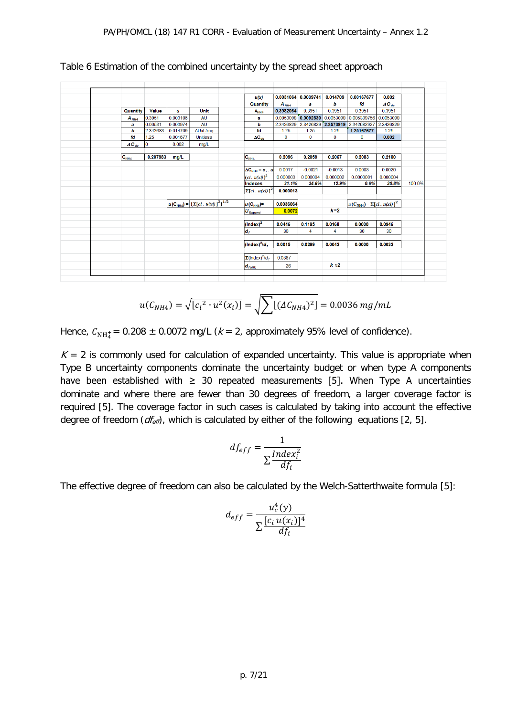|             |          |          |                                                           | u(x)                                          |           | 0.0031064 0.0039741   | 0.014709      | 0.00167677                        | 0.002     |        |
|-------------|----------|----------|-----------------------------------------------------------|-----------------------------------------------|-----------|-----------------------|---------------|-----------------------------------|-----------|--------|
|             |          |          |                                                           | Quantity                                      | $A_{HH4}$ | a                     | b             | fd                                | $AC_{dc}$ |        |
| Quantity    | Value    | u        | Unit                                                      | A <sub>NH4</sub>                              | 0.3982064 | 0.3951                | 0.3951        | 0.3951                            | 0.3951    |        |
| $A_{NHA}$   | 0.3951   | 0.003106 | <b>AU</b>                                                 | a                                             |           | $0.0053098$ 0.0092839 | 0.0053098     | 0.005309756                       | 0.0053098 |        |
| а           | 0.00531  | 0.003974 | <b>AU</b>                                                 | b                                             | 2.3426829 | 2.3426829 2.3573919   |               | 2.342682927                       | 2.3426829 |        |
| ь           | 2.342683 | 0.014709 | AUxL/mg                                                   | fd                                            | 1.25      | 1.25                  | 1.25          | 1.25167677                        | 1.25      |        |
| fd          | 1.25     | 0.001677 | <b>Unitless</b>                                           | $AC_{dc}$                                     | $\bf{0}$  | $\mathbf 0$           | $\Omega$      | $\bf{0}$                          | 0.002     |        |
| $AC_{dc}$   | ١o       | 0.002    | mg/L                                                      |                                               |           |                       |               |                                   |           |        |
|             |          |          |                                                           |                                               |           |                       |               |                                   |           |        |
| $ C_{NHA} $ | 0.207983 | mg/L     |                                                           | $ {\bf C}_{\sf NHA} $                         | 0.2096    | 0.2059                | 0.2067        | 0.2083                            | 0.2100    |        |
|             |          |          |                                                           |                                               |           |                       |               |                                   |           |        |
|             |          |          |                                                           | $\Delta C_{\text{NHA}} = c_i$ . u             | 0.0017    | $-0.0021$             | $-0.0013$     | 0.0003                            | 0.0020    |        |
|             |          |          |                                                           | $(ci . u(xi))2$                               | 0.000003  | 0.000004              | 0.000002      | 0.0000001                         | 0.000004  |        |
|             |          |          |                                                           | Indexes                                       | 21.1%     | 34.6%                 | 12.9%         | 0.6%                              | 30.8%     | 100.0% |
|             |          |          |                                                           | $\sum [ci, u(xi)]^2$                          | 0.000013  |                       |               |                                   |           |        |
|             |          |          |                                                           |                                               |           |                       |               |                                   |           |        |
|             |          |          | $u(C_{NHA}) = \left[\sum [ci \cdot u(xi)]^2\right]^{1/2}$ | $ u(\mathbf{C}_{\mathsf{N}\mathsf{H4}}) $     | 0.0036064 |                       |               | $u(C_{NH4}) = \sum [ci, u(xi)]^2$ |           |        |
|             |          |          |                                                           | $\boldsymbol{U}_{\text{Expand}}$              | 0.0072    |                       | $k=2$         |                                   |           |        |
|             |          |          |                                                           |                                               |           |                       |               |                                   |           |        |
|             |          |          |                                                           | $(lndex)^2$                                   | 0.0446    | 0.1195                | 0.0168        | 0.0000                            | 0.0946    |        |
|             |          |          |                                                           | $\vert d_{f} \vert$                           | 30        | 4                     | 4             | 30                                | 30        |        |
|             |          |          |                                                           |                                               |           |                       |               |                                   |           |        |
|             |          |          |                                                           | $ $ (Index) <sup>2</sup> /d <sub>r</sub>      | 0.0015    | 0.0299                | 0.0042        | 0.0000                            | 0.0032    |        |
|             |          |          |                                                           |                                               |           |                       |               |                                   |           |        |
|             |          |          |                                                           | $\Sigma$ (Index) <sup>2</sup> /d <sub>t</sub> | 0.0387    |                       |               |                                   |           |        |
|             |          |          |                                                           |                                               | 26        |                       | $k \approx 2$ |                                   |           |        |

Table 6 Estimation of the combined uncertainty by the spread sheet approach

$$
u(C_{NH4}) = \sqrt{[c_i^2 \cdot u^2(x_i)]} = \sqrt{\sum [(\Delta C_{NH4})^2]} = 0.0036 mg/mL
$$

Hence,  $C_{NH_4^{+}}$ = 0.208  $\pm$  0.0072 mg/L ( $k$  = 2, approximately 95% level of confidence).

 $K = 2$  is commonly used for calculation of expanded uncertainty. This value is appropriate when Type B uncertainty components dominate the uncertainty budget or when type A components have been established with  $\geq$  30 repeated measurements [5]. When Type A uncertainties dominate and where there are fewer than 30 degrees of freedom, a larger coverage factor is required [5]. The coverage factor in such cases is calculated by taking into account the effective degree of freedom  $(df_{\text{eff}})$ , which is calculated by either of the following equations [2, 5].

$$
df_{eff} = \frac{1}{\sum \frac{Index_i^2}{df_i}}
$$

The effective degree of freedom can also be calculated by the Welch-Satterthwaite formula [5]:

$$
d_{eff} = \frac{u_c^4(y)}{\sum \frac{[c_i u(x_i)]^4}{df_i}}
$$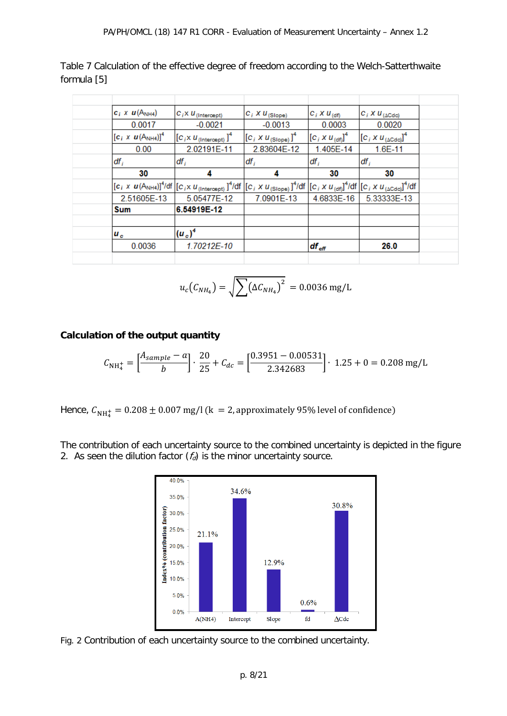Table 7 Calculation of the effective degree of freedom according to the Welch-Satterthwaite formula [5]

| $c_i \times u(A_{NH4})$     | $ C_i \times U_{(Intercept)} $                                                                                                                                           | $C_i$ X $U_{(Slope)}$                     | $C_i X U_{(df)}$     | $C_i$ X $U_{(\Delta C d c)}$                   |
|-----------------------------|--------------------------------------------------------------------------------------------------------------------------------------------------------------------------|-------------------------------------------|----------------------|------------------------------------------------|
| 0.0017                      | $-0.0021$                                                                                                                                                                | $-0.0013$                                 | 0.0003               | 0.0020                                         |
| $[c_i \times u(A_{NH4})]^4$ | $[C_i \times U_{(Intercept)}]^4$                                                                                                                                         | $\left[C_i X U_{(\text{Slope})}\right]^4$ | $[C_i X U_{(df)}]^4$ | $\left[C_i X U_{(\Delta \text{Cdc})}\right]^4$ |
| 0.00                        | 2.02191E-11                                                                                                                                                              | 2.83604E-12                               | 1.405E-14            | 1.6E-11                                        |
| $df_i$                      | $df_i$                                                                                                                                                                   | df,                                       | $df_i$               | $df_i$                                         |
| 30                          | 4                                                                                                                                                                        | 4                                         | 30                   | 30                                             |
|                             | $[c_i \times u(A_{NH4})]^4$ /df $[(c_i \times u_{(Intercept)}]^4$ /df $[(c_i \times u_{(Slope)})^4$ /df $[(c_i \times u_{(df)}]^4$ /df $[(c_i \times u_{(ACdci)}]^4$ /df |                                           |                      |                                                |
| 2.51605E-13                 | 5.05477E-12                                                                                                                                                              | 7.0901E-13                                | 4.6833E-16           | 5.33333E-13                                    |
| <b>Sum</b>                  | 6.54919E-12                                                                                                                                                              |                                           |                      |                                                |
|                             |                                                                                                                                                                          |                                           |                      |                                                |
| $u_c$                       | $(u_{c})^{4}$                                                                                                                                                            |                                           |                      |                                                |
| 0.0036                      | 1.70212E-10                                                                                                                                                              |                                           | $df_{\text{eff}}$    | 26.0                                           |
|                             |                                                                                                                                                                          |                                           |                      |                                                |

$$
u_c(C_{NH_4}) = \sqrt{\sum (\Delta C_{NH_4})^2} = 0.0036 \text{ mg/L}
$$

# **Calculation of the output quantity**

$$
C_{\text{NH}_4^+} = \left[\frac{A_{sample} - a}{b}\right] \cdot \frac{20}{25} + C_{dc} = \left[\frac{0.3951 - 0.00531}{2.342683}\right] \cdot 1.25 + 0 = 0.208 \text{ mg/L}
$$

Hence,  $C_{NH_4^+} = 0.208 \pm 0.007$  mg/l (k  $\, = 2$ , approximately 95% level of confidence)

The contribution of each uncertainty source to the combined uncertainty is depicted in the figure 2. As seen the dilution factor  $(f_d)$  is the minor uncertainty source.



Fig. 2 Contribution of each uncertainty source to the combined uncertainty.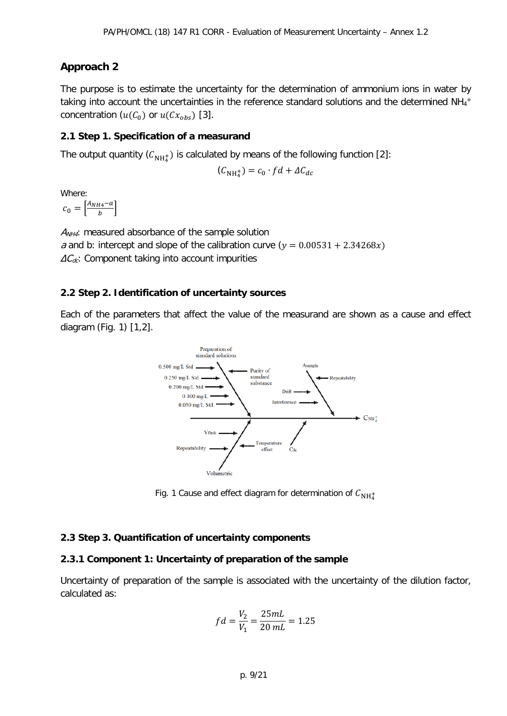# **Approach 2**

The purpose is to estimate the uncertainty for the determination of ammonium ions in water by taking into account the uncertainties in the reference standard solutions and the determined NH<sub>4</sub>+ concentration ( $u(C_0)$  or  $u(Cx_{obs})$  [3].

## **2.1 Step 1. Specification of a measurand**

The output quantity  $(\mathcal{C}_{\mathrm{NH}_4^+})$  is calculated by means of the following function [2]:

$$
(\mathcal{C}_{\mathrm{NH}_4^+}) = c_0 \cdot f d + \Delta C_{dc}
$$

Where:

 $\sigma_0 = \left[\frac{A_{NH4}-a}{b}\right]$ 

 $A_{NH4}$ : measured absorbance of the sample solution a and b: intercept and slope of the calibration curve  $(y = 0.00531 + 2.34268x)$  $\Delta C_{dc}$ : Component taking into account impurities

# **2.2 Step 2. Identification of uncertainty sources**

Each of the parameters that affect the value of the measurand are shown as a cause and effect diagram (Fig. 1) [1,2].



Fig. 1 Cause and effect diagram for determination of  $C_{\rm NH_4^+}$ 

# **2.3 Step 3. Quantification of uncertainty components**

#### **2.3.1 Component 1: Uncertainty of preparation of the sample**

Uncertainty of preparation of the sample is associated with the uncertainty of the dilution factor, calculated as:

$$
fd = \frac{V_2}{V_1} = \frac{25mL}{20 mL} = 1.25
$$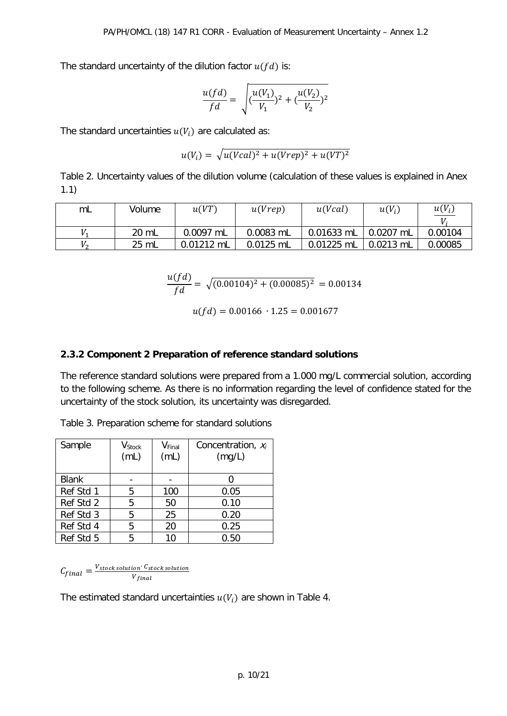The standard uncertainty of the dilution factor  $u(fd)$  is:

$$
\frac{u(fd)}{fd} = \sqrt{(\frac{u(V_1)}{V_1})^2 + (\frac{u(V_2)}{V_2})^2}
$$

The standard uncertainties  $u(V_i)$  are calculated as:

$$
u(V_i) = \sqrt{u(Vcal)^2 + u(Vrep)^2 + u(VT)^2}
$$

Table 2. Uncertainty values of the dilution volume (calculation of these values is explained in Anex 1.1)

| mL                | Volume | u(VT)        | u(Vrep)   | u(Vcal)    | $u(V_i)$    | $u(V_i)$<br>$U$ . |
|-------------------|--------|--------------|-----------|------------|-------------|-------------------|
|                   | 20 mL  | 0.0097 mL    | 0.0083 mL | 0.01633 mL | 0.0207 mL   | 0.00104           |
| $V_{\mathcal{D}}$ | 25 mL  | $0.01212$ mL | 0.0125 mL | 0.01225 mL | $0.0213$ mL | 0.00085           |

$$
\frac{u(fd)}{fd} = \sqrt{(0.00104)^2 + (0.00085)^2} = 0.00134
$$

 $u(fd) = 0.00166 \cdot 1.25 = 0.001677$ 

## **2.3.2 Component 2 Preparation of reference standard solutions**

The reference standard solutions were prepared from a 1.000 mg/L commercial solution, according to the following scheme. As there is no information regarding the level of confidence stated for the uncertainty of the stock solution, its uncertainty was disregarded.

Table 3. Preparation scheme for standard solutions

| Sample       | $V_{\footnotesize \rm Stock}$<br>(mL) | V <sub>Final</sub><br>(mL) | Concentration, $x_i$<br>(mg/L) |
|--------------|---------------------------------------|----------------------------|--------------------------------|
| <b>Blank</b> |                                       |                            |                                |
| Ref Std 1    | 5                                     | 100                        | 0.05                           |
| Ref Std 2    | 5                                     | 50                         | 0.10                           |
| Ref Std 3    | 5                                     | 25                         | 0.20                           |
| Ref Std 4    | 5                                     | 20                         | 0.25                           |
| Ref Std 5    | 5                                     | 10                         | 0.50                           |

 $\mathcal{C}_{final} = \frac{V_{stock\,solution}\cdot C_{stock\, solution}}{V_{final}}$ 

The estimated standard uncertainties  $u(V_i)$  are shown in Table 4.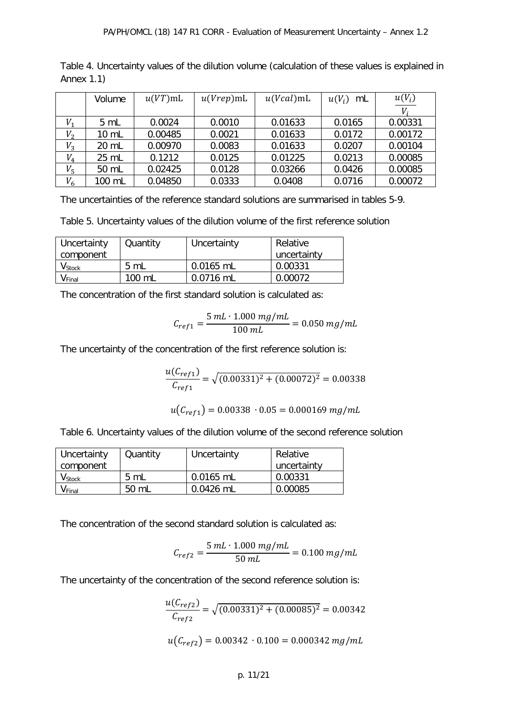| Table 4. Uncertainty values of the dilution volume (calculation of these values is explained in |  |  |  |
|-------------------------------------------------------------------------------------------------|--|--|--|
| Annex $1.1$ )                                                                                   |  |  |  |

|         | Volume          | $u(VT)$ mL | $u(Vrep)$ mL | $u(Vcal)$ mL | $u(V_i)$<br>mL | $u(V_i)$ |
|---------|-----------------|------------|--------------|--------------|----------------|----------|
|         |                 |            |              |              |                | $V_i$    |
| $V_{1}$ | 5 mL            | 0.0024     | 0.0010       | 0.01633      | 0.0165         | 0.00331  |
| $V_{2}$ | $10 \mathrm{m}$ | 0.00485    | 0.0021       | 0.01633      | 0.0172         | 0.00172  |
| $V_3$   | 20 mL           | 0.00970    | 0.0083       | 0.01633      | 0.0207         | 0.00104  |
| $V_4$   | 25 mL           | 0.1212     | 0.0125       | 0.01225      | 0.0213         | 0.00085  |
| $V_5$   | 50 mL           | 0.02425    | 0.0128       | 0.03266      | 0.0426         | 0.00085  |
| $V_6$   | 100 mL          | 0.04850    | 0.0333       | 0.0408       | 0.0716         | 0.00072  |

The uncertainties of the reference standard solutions are summarised in tables 5-9.

Table 5. Uncertainty values of the dilution volume of the first reference solution

| Uncertainty                   | Quantity       | Uncertainty | Relative    |
|-------------------------------|----------------|-------------|-------------|
| component                     |                |             | uncertainty |
| $\mathsf{V}_{\mathsf{Stock}}$ | $5 \text{ mL}$ | $0.0165$ mL | 0.00331     |
| <b>V</b> Final                | 100 mL         | 0.0716 mL   | 0.00072     |

The concentration of the first standard solution is calculated as:

$$
C_{ref1} = \frac{5 mL \cdot 1.000 mg/mL}{100 mL} = 0.050 mg/mL
$$

The uncertainty of the concentration of the first reference solution is:

$$
\frac{u(C_{ref1})}{C_{ref1}} = \sqrt{(0.00331)^2 + (0.00072)^2} = 0.00338
$$

$$
u(C_{ref1}) = 0.00338 \cdot 0.05 = 0.000169 mg/mL
$$

Table 6. Uncertainty values of the dilution volume of the second reference solution

| Uncertainty                   | Quantity       | Uncertainty | Relative    |
|-------------------------------|----------------|-------------|-------------|
| component                     |                |             | uncertainty |
| $\mathsf{V}_{\mathsf{Stock}}$ | $5 \mathrm{m}$ | $0.0165$ mL | 0.00331     |
| $\mathsf{V}_{\mathsf{Final}}$ | 50 mL          | $0.0426$ mL | 0.00085     |

The concentration of the second standard solution is calculated as:

$$
C_{ref2} = \frac{5 mL \cdot 1.000 mg/mL}{50 mL} = 0.100 mg/mL
$$

The uncertainty of the concentration of the second reference solution is:

$$
\frac{u(C_{ref2})}{C_{ref2}} = \sqrt{(0.00331)^2 + (0.00085)^2} = 0.00342
$$
  

$$
u(C_{ref2}) = 0.00342 \cdot 0.100 = 0.000342 mg/mL
$$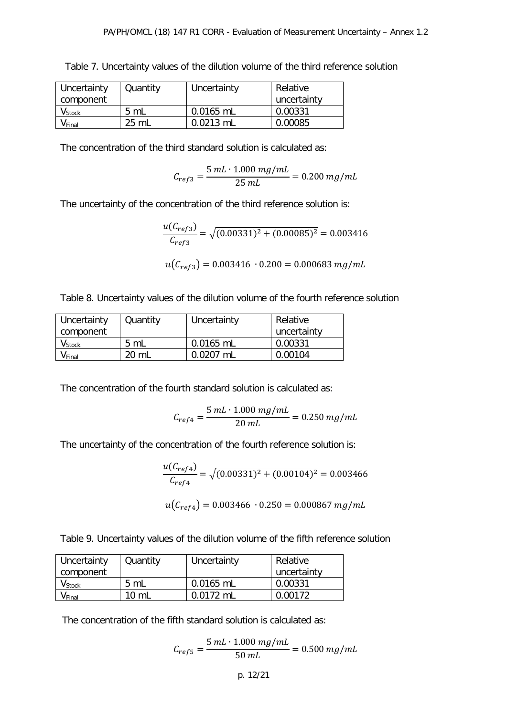| Uncertainty                   | Quantity       | Uncertainty | Relative    |
|-------------------------------|----------------|-------------|-------------|
| component                     |                |             | uncertainty |
| $\mathsf{V}_{\mathsf{Stock}}$ | $5 \text{ mL}$ | $0.0165$ mL | 0.00331     |
| V Final                       | 25 mL          | $0.0213$ mL | 0.00085     |

Table 7. Uncertainty values of the dilution volume of the third reference solution

The concentration of the third standard solution is calculated as:

$$
C_{ref3} = \frac{5 mL \cdot 1.000 mg/mL}{25 mL} = 0.200 mg/mL
$$

The uncertainty of the concentration of the third reference solution is:

$$
\frac{u(C_{ref3})}{C_{ref3}} = \sqrt{(0.00331)^2 + (0.00085)^2} = 0.003416
$$
  

$$
u(C_{ref3}) = 0.003416 \cdot 0.200 = 0.000683 mg/mL
$$

Table 8. Uncertainty values of the dilution volume of the fourth reference solution

| Uncertainty                   | Quantity       | Uncertainty | Relative    |
|-------------------------------|----------------|-------------|-------------|
| component                     |                |             | uncertainty |
| $\mathsf{V}_{\mathsf{Stock}}$ | $5 \mathrm{m}$ | 0.0165 mL   | 0.00331     |
| $V_{Final}$                   | 20 mL          | $0.0207$ mL | 0.00104     |

The concentration of the fourth standard solution is calculated as:

$$
C_{ref4} = \frac{5 mL \cdot 1.000 mg/mL}{20 mL} = 0.250 mg/mL
$$

The uncertainty of the concentration of the fourth reference solution is:

$$
\frac{u(C_{ref4})}{C_{ref4}} = \sqrt{(0.00331)^2 + (0.00104)^2} = 0.003466
$$
  

$$
u(C_{ref4}) = 0.003466 \cdot 0.250 = 0.000867 mg/mL
$$

Table 9. Uncertainty values of the dilution volume of the fifth reference solution

| Uncertainty                   | Quantity        | Uncertainty | Relative    |
|-------------------------------|-----------------|-------------|-------------|
| component                     |                 |             | uncertainty |
| $\mathsf{V}_{\mathsf{Stock}}$ | $5 \text{ mL}$  | 0.0165 mL   | 0.00331     |
| $\mathsf{V}_{\mathsf{Final}}$ | $10 \text{ mL}$ | $0.0172$ ml | 0.00172     |

The concentration of the fifth standard solution is calculated as:

$$
C_{ref5} = \frac{5 \, mL \cdot 1.000 \, mg/mL}{50 \, mL} = 0.500 \, mg/mL
$$

p. 12/21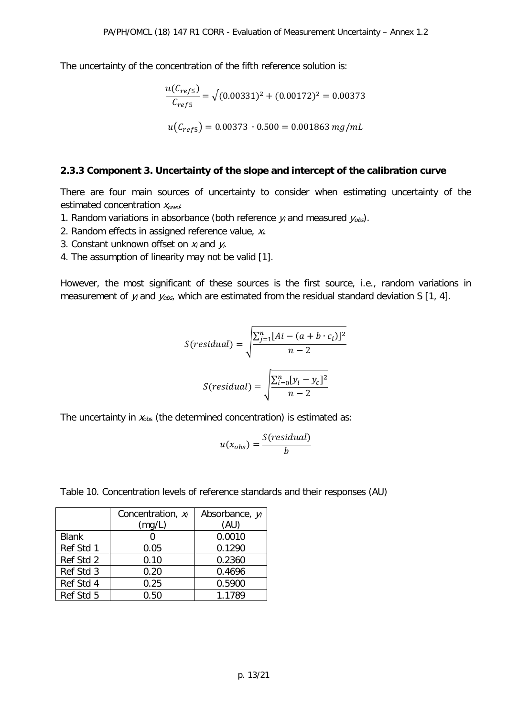The uncertainty of the concentration of the fifth reference solution is:

$$
\frac{u(C_{ref5})}{C_{ref5}} = \sqrt{(0.00331)^2 + (0.00172)^2} = 0.00373
$$
  

$$
u(C_{ref5}) = 0.00373 \cdot 0.500 = 0.001863 \, mg/mL
$$

#### **2.3.3 Component 3. Uncertainty of the slope and intercept of the calibration curve**

There are four main sources of uncertainty to consider when estimating uncertainty of the estimated concentration  $x_{pred}$ .

- 1. Random variations in absorbance (both reference  $y_i$  and measured  $y_{obs}$ ).
- 2. Random effects in assigned reference value,  $x_i$ .
- 3. Constant unknown offset on  $x_i$  and  $y_i$ .
- 4. The assumption of linearity may not be valid [1].

However, the most significant of these sources is the first source, i.e., random variations in measurement of  $y_i$  and  $y_{obs}$ , which are estimated from the residual standard deviation S [1, 4].

$$
S(residual) = \sqrt{\frac{\sum_{j=1}^{n} [Ai - (a + b \cdot c_i)]^2}{n - 2}}
$$

$$
S(residual) = \sqrt{\frac{\sum_{i=0}^{n} [y_i - y_c]^2}{n - 2}}
$$

The uncertainty in  $x_{obs}$  (the determined concentration) is estimated as:

$$
u(x_{obs}) = \frac{S(residual)}{b}
$$

|              | Concentration, $x_i$ | Absorbance, yi |
|--------------|----------------------|----------------|
|              | (mg/L)               | (AU)           |
| <b>Blank</b> |                      | 0.0010         |
| Ref Std 1    | 0.05                 | 0.1290         |
| Ref Std 2    | 0.10                 | 0.2360         |
| Ref Std 3    | 0.20                 | 0.4696         |
| Ref Std 4    | 0.25                 | 0.5900         |

Ref Std 5  $\vert$  0.50  $\vert$  1.1789

Table 10. Concentration levels of reference standards and their responses (AU)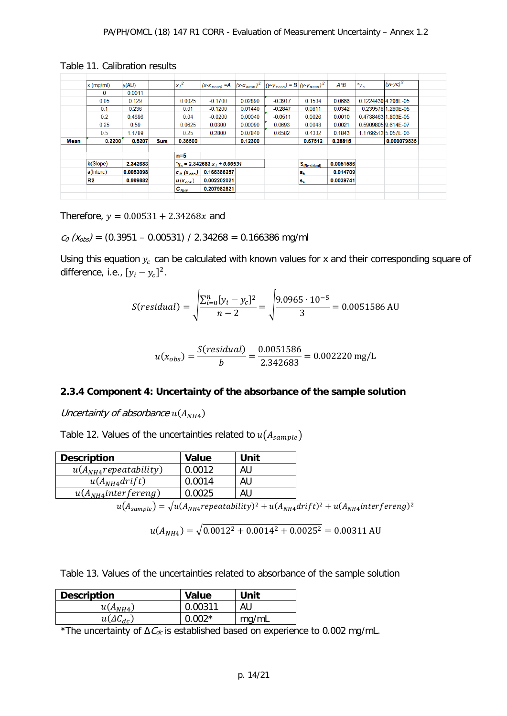|      | $x$ (mg/ml) | y(AU)     |            | $ X_i ^2$                | $(X-X_{mean}) = A$                              |         | $ (x-x)_{mean} ^2$ $ (y-y)_{mean}  = B (y-y)_{mean} ^2$ |                  | $A^*B$    | $^*y_c$             | $(yi-yc)^2$         |
|------|-------------|-----------|------------|--------------------------|-------------------------------------------------|---------|---------------------------------------------------------|------------------|-----------|---------------------|---------------------|
|      | 0           | 0.0011    |            |                          |                                                 |         |                                                         |                  |           |                     |                     |
|      | 0.05        | 0.129     |            | 0.0025                   | $-0.1700$                                       | 0.02890 | $-0.3917$                                               | 0.1534           | 0.0666    |                     | 0.122443914.298E-05 |
|      | 0.1         | 0.236     |            | 0.01                     | $-0.1200$                                       | 0.01440 | $-0.2847$                                               | 0.0811           | 0.0342    |                     | 0.239578 1.280E-05  |
|      | 0.2         | 0.4696    |            | 0.04                     | $-0.0200$                                       | 0.00040 | $-0.0511$                                               | 0.0026           | 0.0010    |                     | 0.4738463 1.803E-05 |
|      | 0.25        | 0.59      |            | 0.0625                   | 0.0300                                          | 0.00090 | 0.0693                                                  | 0.0048           | 0.0021    | 0.5909805 9.614E-07 |                     |
|      | 0.5         | 1.1789    |            | 0.25                     | 0.2800                                          | 0.07840 | 0.6582                                                  | 0.4332           | 0.1843    |                     | 1.17665125.057E-06  |
|      |             |           |            |                          |                                                 |         |                                                         |                  |           |                     |                     |
| Mean | 0.2200      | 0.5207    | <b>Sum</b> | 0.36500                  |                                                 | 0.12300 |                                                         | 0.67512          | 0.28815   |                     | 0.000079835         |
|      |             |           |            |                          |                                                 |         |                                                         |                  |           |                     |                     |
|      |             |           |            | n=5                      |                                                 |         |                                                         |                  |           |                     |                     |
|      | b(Slope)    | 2.342683  |            |                          | $v_{\rm g}$ = 2.342683 x <sub>i</sub> + 0.00531 |         |                                                         | $S_{(Residual)}$ | 0.0051586 |                     |                     |
|      | a(Interc)   | 0.0053098 |            | $ c_{\theta} (x_{obs}) $ | 0.166386257                                     |         |                                                         | $s_{b}$          | 0.014709  |                     |                     |
|      | R2          | 0.999882  |            | $ u(x_{obs}) $           | 0.002202021                                     |         |                                                         | ls <sub>a</sub>  | 0.0039741 |                     |                     |
|      |             |           |            | $C_{NH4}$                | 0.207982821                                     |         |                                                         |                  |           |                     |                     |

Table 11. Calibration results

Therefore,  $y = 0.00531 + 2.34268x$  and

 $c_0$  ( $x_{obs}$ ) = (0.3951 – 0.00531) / 2.34268 = 0.166386 mg/ml

Using this equation  $y_c$  can be calculated with known values for x and their corresponding square of difference, i.e.,  $[y_i - y_c]^2$ .

$$
S(residual) = \sqrt{\frac{\sum_{i=0}^{n} [y_i - y_c]^2}{n - 2}} = \sqrt{\frac{9.0965 \cdot 10^{-5}}{3}} = 0.0051586 \text{ AU}
$$

$$
u(x_{obs}) = \frac{S(residual)}{b} = \frac{0.0051586}{2.342683} = 0.002220 \text{ mg/L}
$$

#### **2.3.4 Component 4: Uncertainty of the absorbance of the sample solution**

Uncertainty of absorbance  $u(A_{NH4})$ 

Table 12. Values of the uncertainties related to  $u(A_{sample})$ 

| <b>Description</b>         | <b>Value</b> | Unit |  |
|----------------------------|--------------|------|--|
| $u(A_{NH4}$ repeatability) | 0.0012       | AU   |  |
| $u(A_{NH4}drift)$          | 0.0014       | AU   |  |
| $u(A_{NH4}$ interfereng)   | 0.0025       | AU   |  |

 $u(A_{sample}) = \sqrt{u(A_{NH4}}$ repeatability) $^2 + u(A_{NH4}drift)^2 + u(A_{NH4}interfereng)^2$ 

$$
u(A_{NH4}) = \sqrt{0.0012^2 + 0.0014^2 + 0.0025^2} = 0.00311 \text{ AU}
$$

Table 13. Values of the uncertainties related to absorbance of the sample solution

| <b>Description</b> | Value    | Unit  |
|--------------------|----------|-------|
| $u(A_{NH4})$       | 0.00311  | AU    |
| $u(\Delta C_{dc})$ | $0.002*$ | mg/mL |

 $^*$ The uncertainty of  $\Delta\mathit{C}_{\mathit{dc}}$  is established based on experience to 0.002 mg/mL.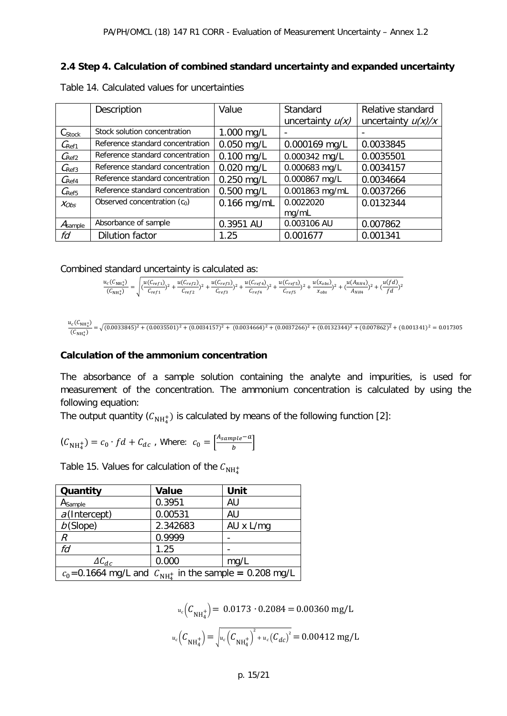# **2.4 Step 4. Calculation of combined standard uncertainty and expanded uncertainty**

|                     | Description                      | Value         | Standard           | Relative standard    |
|---------------------|----------------------------------|---------------|--------------------|----------------------|
|                     |                                  |               | uncertainty $u(x)$ | uncertainty $u(x)/x$ |
| Cstock              | Stock solution concentration     | 1.000 mg/L    |                    |                      |
| $C_{\rm Ref1}$      | Reference standard concentration | $0.050$ mg/L  | 0.000169 mg/L      | 0.0033845            |
| $C_{\text{Ref2}}$   | Reference standard concentration | $0.100$ mg/L  | 0.000342 mg/L      | 0.0035501            |
| $C_{\text{Ref3}}$   | Reference standard concentration | $0.020$ mg/L  | 0.000683 mg/L      | 0.0034157            |
| $C_{\text{Ref4}}$   | Reference standard concentration | $0.250$ mg/L  | 0.000867 mg/L      | 0.0034664            |
| $C_{\text{Ref5}}$   | Reference standard concentration | $0.500$ mg/L  | 0.001863 mg/mL     | 0.0037266            |
| $X_{Obs}$           | Observed concentration $(c_0)$   | $0.166$ mg/mL | 0.0022020          | 0.0132344            |
|                     |                                  |               | mg/mL              |                      |
| A <sub>sample</sub> | Absorbance of sample             | 0.3951 AU     | 0.003106 AU        | 0.007862             |
| fd                  | <b>Dilution factor</b>           | 1.25          | 0.001677           | 0.001341             |

Table 14. Calculated values for uncertainties

Combined standard uncertainty is calculated as:

$$
\frac{u_c(C_{\text{NH}_4^+})}{(C_{\text{NH}_4^+})} = \sqrt{\frac{u(C_{ref1})}{C_{ref1}})^2 + \frac{u(C_{ref2})}{C_{ref2}})^2 + \frac{u(C_{ref3})}{C_{ref3}})^2 + \frac{u(C_{ref4})}{C_{ref4}})^2 + \frac{u(C_{ref5})}{C_{ref5}})^2 + \frac{u(x_{obs})}{x_{obs}})^2 + (\frac{u(A_{\text{NH}_4})}{A_{\text{NH}_4}})^2 + (\frac{u(fd)}{fd})^2}
$$

$$
\frac{u_c(C_{\text{NH}_4^+})}{(C_{\text{NH}_4^+})} = \sqrt{(0.0033845)^2 + (0.0035501)^2 + (0.0034157)^2 + (0.0034664)^2 + (0.0037266)^2 + (0.0132344)^2 + (0.007862)^2} + (0.001341)^2 = 0.017305
$$

#### **Calculation of the ammonium concentration**

The absorbance of a sample solution containing the analyte and impurities, is used for measurement of the concentration. The ammonium concentration is calculated by using the following equation:

The output quantity ( ${\cal C}_{\rm NH_4^+}$ ) is calculated by means of the following function [2]:

$$
(\mathcal{C}_{NH_4^+}) = c_0 \cdot fd + \mathcal{C}_{dc} \text{ , Where: } c_0 = \left[\frac{A_{sample} - a}{b}\right]
$$

Table 15. Values for calculation of the  $C_{\rm NH_4^+}$ 

| Quantity                                                    | <b>Value</b> | Unit      |
|-------------------------------------------------------------|--------------|-----------|
| Asample                                                     | 0.3951       | AU        |
| $a$ (Intercept)                                             | 0.00531      | AU        |
| $b$ (Slope)                                                 | 2.342683     | AU x L/mg |
| R                                                           | 0.9999       |           |
| fd                                                          | 1.25         |           |
| $\Delta C_{dc}$                                             | 0.000        | mg/L      |
| $c_0$ =0.1664 mg/L and $C_{NH2}$ in the sample = 0.208 mg/L |              |           |

$$
u_c(C_{NH_4^+}) = 0.0173 \cdot 0.2084 = 0.00360 \text{ mg/L}
$$

$$
u_c(C_{NH_4^+}) = \sqrt{u_c(C_{NH_4^+})^2 + u_c(C_{dc})^2} = 0.00412 \text{ mg/L}
$$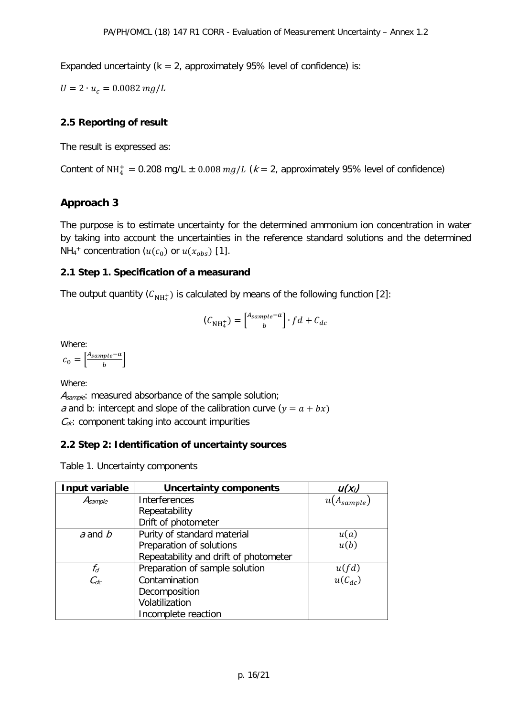Expanded uncertainty ( $k = 2$ , approximately 95% level of confidence) is:

 $U = 2 \cdot u_c = 0.0082 mg/L$ 

# **2.5 Reporting of result**

The result is expressed as:

Content of NH<sub>4</sub> = 0.208 mg/L  $\pm$  0.008 mg/L (k = 2, approximately 95% level of confidence)

# **Approach 3**

The purpose is to estimate uncertainty for the determined ammonium ion concentration in water by taking into account the uncertainties in the reference standard solutions and the determined NH<sub>4</sub><sup>+</sup> concentration ( $u(c_0)$  or  $u(x_{obs})$  [1].

## **2.1 Step 1. Specification of a measurand**

The output quantity  $(\mathcal{C}_{\mathrm{NH}_4^+})$  is calculated by means of the following function [2]:

$$
(\mathcal{C}_{NH_4^+}) = \left[\frac{A_{sample} - a}{b}\right] \cdot fd + C_{dc}
$$

Where:

 $b_0 = \left[\frac{A_{sample}-a}{b}\right]$ 

Where:

A<sub>sample</sub>: measured absorbance of the sample solution; a and b: intercept and slope of the calibration curve  $(y = a + bx)$  $C_{dc}$ : component taking into account impurities

# **2.2 Step 2: Identification of uncertainty sources**

Table 1. Uncertainty components

| Input variable | <b>Uncertainty components</b>         | $U(X_i)$       |
|----------------|---------------------------------------|----------------|
| $A_{sample}$   | Interferences                         | $A_{sample}$ ) |
|                | Repeatability                         |                |
|                | Drift of photometer                   |                |
| $a$ and $b$    | Purity of standard material           | u(a)           |
|                | Preparation of solutions              | u(b)           |
|                | Repeatability and drift of photometer |                |
| $f_d$          | Preparation of sample solution        | u(fd)          |
| $C_{dc}$       | Contamination                         | $u(C_{dc})$    |
|                | Decomposition                         |                |
|                | Volatilization                        |                |
|                | Incomplete reaction                   |                |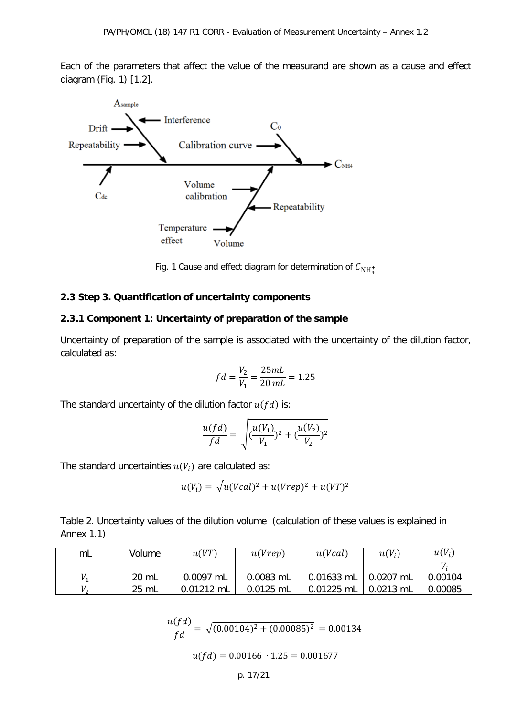Each of the parameters that affect the value of the measurand are shown as a cause and effect diagram (Fig. 1) [1,2].



Fig. 1 Cause and effect diagram for determination of  $C_{\rm NH^+_4}$ 

#### **2.3 Step 3. Quantification of uncertainty components**

#### **2.3.1 Component 1: Uncertainty of preparation of the sample**

Uncertainty of preparation of the sample is associated with the uncertainty of the dilution factor, calculated as:

$$
fd = \frac{V_2}{V_1} = \frac{25mL}{20 mL} = 1.25
$$

The standard uncertainty of the dilution factor  $u(fd)$  is:

$$
\frac{u(fd)}{fd} = \sqrt{(\frac{u(V_1)}{V_1})^2 + (\frac{u(V_2)}{V_2})^2}
$$

The standard uncertainties  $u(V_i)$  are calculated as:

$$
u(V_i) = \sqrt{u(Vcal)^2 + u(Vrep)^2 + u(VT)^2}
$$

Table 2. Uncertainty values of the dilution volume (calculation of these values is explained in Annex 1.1)

| mL | Volume | u(VT)        | u(Vcal)<br>u(Vrep) |              | $u(V_i)$    | $u(V_i)$ |
|----|--------|--------------|--------------------|--------------|-------------|----------|
|    |        |              |                    |              |             |          |
|    | 20 mL  | 0.0097 mL    | 0.0083 mL          | 0.01633 mL   | 0.0207 mL   | 0.00104  |
| V, | 25 mL  | $0.01212$ mL | $0.0125$ mL        | $0.01225$ mL | $0.0213$ mL | 0.00085  |

$$
\frac{u(fd)}{fd} = \sqrt{(0.00104)^2 + (0.00085)^2} = 0.00134
$$

 $u(fd) = 0.00166 \cdot 1.25 = 0.001677$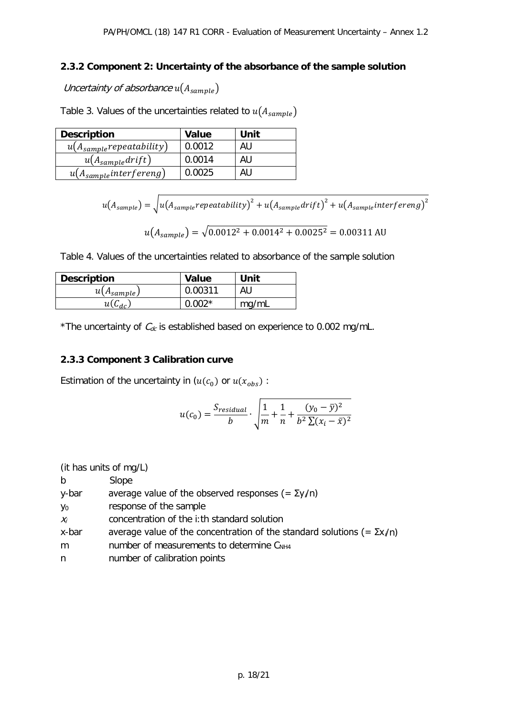# **2.3.2 Component 2: Uncertainty of the absorbance of the sample solution**

Uncertainty of absorbance  $u(A_{sample})$ 

Table 3. Values of the uncertainties related to  $u(A_{sample})$ 

| <b>Description</b>            | <b>Value</b> | Unit |
|-------------------------------|--------------|------|
| $u(A_{sample}$ repeatability) | 0.0012       | AU   |
| $u(A_{sample}drift)$          | 0.0014       | AU   |
| $u(A_{sample}$ interfereng)   | 0.0025       | AU   |

$$
u(A_{sample}) = \sqrt{u(A_{sample}repeatability)^2 + u(A_{sample}drift)^2 + u(A_{sample}interfereng)^2}
$$

$$
u(A_{sample}) = \sqrt{0.0012^2 + 0.0014^2 + 0.0025^2} = 0.00311 \text{ AU}
$$

Table 4. Values of the uncertainties related to absorbance of the sample solution

| <b>Description</b> | Value    | Unit  |
|--------------------|----------|-------|
| $u(A_{sample})$    | 0.00311  | AU    |
| $u(C_{dc})$        | $0.002*$ | mg/mL |

\*The uncertainty of  $C_{dc}$  is established based on experience to 0.002 mg/mL.

# **2.3.3 Component 3 Calibration curve**

Estimation of the uncertainty in  $(u(c_0))$  or  $u(x_{obs})$ :

$$
u(c_0) = \frac{S_{residual}}{b} \cdot \sqrt{\frac{1}{m} + \frac{1}{n} + \frac{(y_0 - \overline{y})^2}{b^2 \sum (x_i - \overline{x})^2}}
$$

|  |  |  |  | (it has units of mg/L) |
|--|--|--|--|------------------------|
|--|--|--|--|------------------------|

| b              | Slope                                                                          |
|----------------|--------------------------------------------------------------------------------|
| y-bar          | average value of the observed responses $(=\Sigma y/n)$                        |
| y <sub>0</sub> | response of the sample                                                         |
| $X_i$          | concentration of the i:th standard solution                                    |
| x-bar          | average value of the concentration of the standard solutions (= $\Sigma x/n$ ) |
| m              | number of measurements to determine C <sub>NH4</sub>                           |
| n              | number of calibration points                                                   |
|                |                                                                                |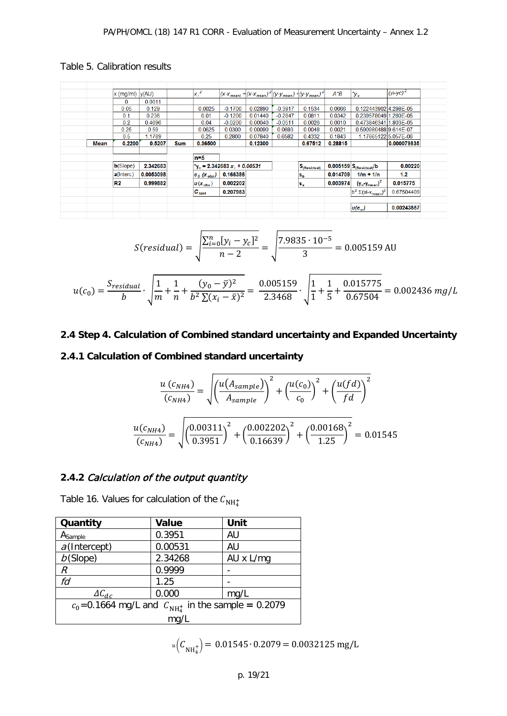# Table 5. Calibration results

|      | $x \text{ (mg/ml)}  y(AU) $ |           |            | $x_i^2$                    |                                           |         |           | $ (x-x)_{mean} =  (x-x)_{mean} ^2  (y-y)_{mean} ^2$ | $A^*B$   | $^{\star}$ y $_{c}$                                     | $(yi-yc)^2$ |
|------|-----------------------------|-----------|------------|----------------------------|-------------------------------------------|---------|-----------|-----------------------------------------------------|----------|---------------------------------------------------------|-------------|
|      | 0                           | 0.0011    |            |                            |                                           |         |           |                                                     |          |                                                         |             |
|      | 0.05                        | 0.129     |            | 0.0025                     | $-0.1700$                                 | 0.02890 | $-0.3917$ | 0.1534                                              | 0.0666   | 0.122443902 4.298E-05                                   |             |
|      | 0.1                         | 0.236     |            | 0.01                       | $-0.1200$                                 | 0.01440 | $-0.2847$ | 0.0811                                              | 0.0342   | 0.239578049 1.280E-05                                   |             |
|      | 0.2                         | 0.4696    |            | 0.04                       | $-0.0200$                                 | 0.00040 | $-0.0511$ | 0.0026                                              | 0.0010   | 0.4738463411.803E-05                                    |             |
|      | 0.25                        | 0.59      |            | 0.0625                     | 0.0300                                    | 0.00090 | 0.0693    | 0.0048                                              | 0.0021   | 0.5909804889.614E-07                                    |             |
|      | 0.5                         | 1.1789    |            | 0.25                       | 0.2800                                    | 0.07840 | 0.6582    | 0.4332                                              | 0.1843   | 1.176651225.057E-06                                     |             |
| Mean | 0.2200                      | 0.5207    | <b>Sum</b> | 0.36500                    |                                           | 0.12300 |           | 0.67512                                             | 0.28815  |                                                         | 0.000079835 |
|      |                             |           |            |                            |                                           |         |           |                                                     |          |                                                         |             |
|      |                             |           |            | $n=5$                      |                                           |         |           |                                                     |          |                                                         |             |
|      | b(Slope)                    | 2.342683  |            |                            | $v_c$ = 2.342683 x <sub>i</sub> + 0.00531 |         |           | $\mathbf{S}_{\text{(Residual)}}$                    |          | $0.005159$ $S_{(Residual)}$ /b                          | 0.00220     |
|      | a(Interc)                   | 0.0053098 |            | $c_{\theta}$ ( $x_{obs}$ ) | 0.166386                                  |         |           | $s_{b}$                                             | 0.014709 | $1/m + 1/n$                                             | 1.2         |
|      | R <sub>2</sub>              | 0.999882  |            | $ u(x_{obs}) $             | 0.002202                                  |         |           | $s_{\rm a}$                                         | 0.003974 | $(y_0 \cdot y_{\text{mean}})^2$                         | 0.015775    |
|      |                             |           |            | $C_{NHA}$                  | 0.207983                                  |         |           |                                                     |          | $b^2 \cdot \Sigma$ (xi-x <sub>mean</sub> ) <sup>2</sup> | 0.67504409  |
|      |                             |           |            |                            |                                           |         |           |                                                     |          |                                                         |             |
|      |                             |           |            |                            |                                           |         |           |                                                     |          | $ u(c_{o}) $                                            | 0.00243557  |
|      |                             |           |            |                            |                                           |         |           |                                                     |          |                                                         |             |

$$
S(residual) = \sqrt{\frac{\sum_{i=0}^{n} [y_i - y_c]^2}{n - 2}} = \sqrt{\frac{7.9835 \cdot 10^{-5}}{3}} = 0.005159 \text{ AU}
$$

$$
u(c_0) = \frac{S_{residual}}{b} \cdot \sqrt{\frac{1}{m} + \frac{1}{n} + \frac{(y_0 - \bar{y})^2}{b^2 \sum (x_i - \bar{x})^2}} = \frac{0.005159}{2.3468} \cdot \sqrt{\frac{1}{1} + \frac{1}{5} + \frac{0.015775}{0.67504}} = 0.002436 \, mg/L
$$

# **2.4 Step 4. Calculation of Combined standard uncertainty and Expanded Uncertainty**

# **2.4.1 Calculation of Combined standard uncertainty**

$$
\frac{u(c_{NH4})}{(c_{NH4})} = \sqrt{\left(\frac{u(A_{sample})}{A_{sample}}\right)^2 + \left(\frac{u(c_0)}{c_0}\right)^2 + \left(\frac{u(fd)}{fd}\right)^2}
$$

$$
\frac{u(c_{NH4})}{(c_{NH4})} = \sqrt{\left(\frac{0.00311}{0.3951}\right)^2 + \left(\frac{0.002202}{0.16639}\right)^2 + \left(\frac{0.00168}{1.25}\right)^2} = 0.01545
$$

# **2.4.2** Calculation of the output quantity

Table 16. Values for calculation of the  $C_{\rm NH_4^+}$ 

| Quantity                                                   | <b>Value</b> | Unit      |  |  |  |  |  |
|------------------------------------------------------------|--------------|-----------|--|--|--|--|--|
| A <sub>Sample</sub>                                        | 0.3951       | AU        |  |  |  |  |  |
| $a$ (Intercept)                                            | 0.00531      | AU        |  |  |  |  |  |
| $b$ (Slope)                                                | 2.34268      | AU x L/mg |  |  |  |  |  |
| R                                                          | 0.9999       |           |  |  |  |  |  |
| fd                                                         | 1.25         |           |  |  |  |  |  |
| $\Delta C_{dc}$                                            | 0.000        | mg/L      |  |  |  |  |  |
| $c_0$ =0.1664 mg/L and $C_{NH_4^+}$ in the sample = 0.2079 |              |           |  |  |  |  |  |
|                                                            | mq/L         |           |  |  |  |  |  |

$$
u(C_{NH_4^+}) = 0.01545 \cdot 0.2079 = 0.0032125 \text{ mg/L}
$$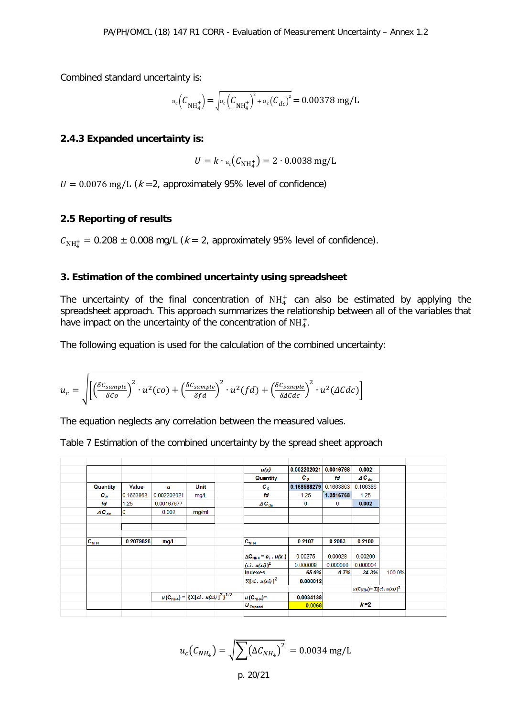Combined standard uncertainty is:

$$
u_c(C_{\text{NH}_4^+}) = \sqrt{u_c(C_{\text{NH}_4^+})^2 + u_c(C_{dc})^2} = 0.00378 \text{ mg/L}
$$

#### **2.4.3 Expanded uncertainty is:**

$$
U = k \cdot u_c(C_{\text{NH}_4^+}) = 2 \cdot 0.0038 \text{ mg/L}
$$

 $U = 0.0076$  mg/L ( $k = 2$ , approximately 95% level of confidence)

#### **2.5 Reporting of results**

 $C_{NH_4^+}$  = 0.208  $\pm$  0.008 mg/L ( $k$  = 2, approximately 95% level of confidence).

#### **3. Estimation of the combined uncertainty using spreadsheet**

The uncertainty of the final concentration of  $NH<sub>4</sub><sup>+</sup>$  can also be estimated by applying the spreadsheet approach. This approach summarizes the relationship between all of the variables that have impact on the uncertainty of the concentration of  $\mathrm{NH}_4^+$ .

The following equation is used for the calculation of the combined uncertainty:

$$
u_c = \sqrt{\left[ \left( \frac{\delta C_{sample}}{\delta C} \right)^2 \cdot u^2 (co) + \left( \frac{\delta C_{sample}}{\delta f d} \right)^2 \cdot u^2 (fd) + \left( \frac{\delta C_{sample}}{\delta \Delta C d c} \right)^2 \cdot u^2 (\Delta C d c) \right]}
$$

The equation neglects any correlation between the measured values.

Table 7 Estimation of the combined uncertainty by the spread sheet approach

|                    |           |             |                                                           | u(x)                              | 0.002202021        | 0.0016768 | 0.002                                                 |        |
|--------------------|-----------|-------------|-----------------------------------------------------------|-----------------------------------|--------------------|-----------|-------------------------------------------------------|--------|
|                    |           |             |                                                           | Quantity                          | $\boldsymbol{c}_o$ | fd        | $AC_{dc}$                                             |        |
| Quantity           | Value     | u           | Unit                                                      | $c_{o}$                           | 0.168588279        | 0.1663863 | 0.166386                                              |        |
| $\boldsymbol{c}_o$ | 0.1663863 | 0.002202021 | mg/L                                                      | fd                                | 1.25               | 1.2516768 | 1.25                                                  |        |
| fd                 | 1.25      | 0.00167677  |                                                           | $AC_{dc}$                         | $\bf{0}$           | $\bf{0}$  | 0.002                                                 |        |
| $AC_{dc}$          | $\bf{0}$  | 0.002       | mg/ml                                                     |                                   |                    |           |                                                       |        |
|                    |           |             |                                                           |                                   |                    |           |                                                       |        |
|                    |           |             |                                                           |                                   |                    |           |                                                       |        |
| $C_{NHA}$          | 0.2079828 | mg/L        |                                                           | $C_{NH4}$                         | 0.2107             | 0.2083    | 0.2100                                                |        |
|                    |           |             |                                                           |                                   |                    |           |                                                       |        |
|                    |           |             |                                                           | $\Delta C_{NHA} = c_i$ . $u(x_i)$ | 0.00275            | 0.00028   | 0.00200                                               |        |
|                    |           |             |                                                           | $(c i. u(xi))^2$                  | 0.000008           | 0.000000  | 0.000004                                              |        |
|                    |           |             |                                                           | Indexes                           | 65.0%              | 0.7%      | 34.3%                                                 | 100.0% |
|                    |           |             |                                                           | $\sum [ci, u(xi)]^2$              | 0.000012           |           |                                                       |        |
|                    |           |             |                                                           |                                   |                    |           | $u(\mathrm{C}_{\mathrm{NH4}}) = \Sigma [ci, u(xi)]^2$ |        |
|                    |           |             |                                                           |                                   |                    |           |                                                       |        |
|                    |           |             | $u(C_{NHA}) = \left[\sum [ci \cdot u(xi)]^2\right]^{1/2}$ | $u(C_{NHA})=$                     | 0.0034138          |           |                                                       |        |

$$
u_c(C_{NH_4}) = \sqrt{\sum (\Delta C_{NH_4})^2} = 0.0034 \text{ mg/L}
$$

p. 20/21